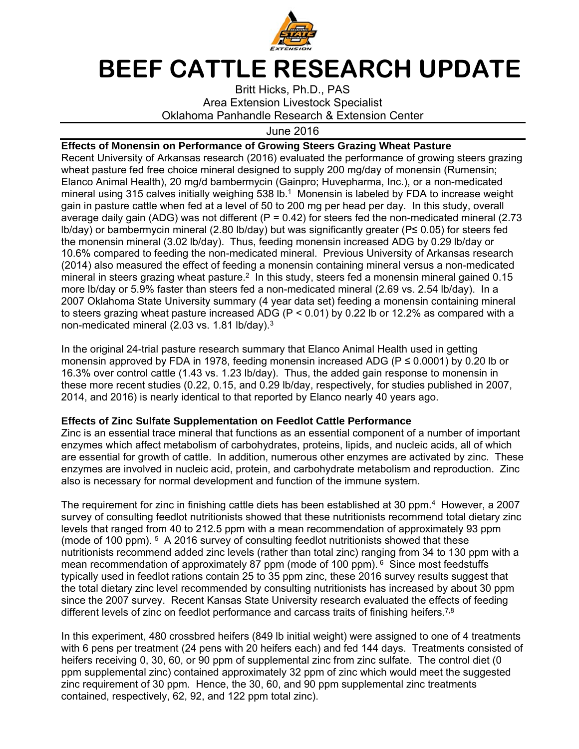

## **BEEF CATTLE RESEARCH UPDATE**

Britt Hicks, Ph.D., PAS Area Extension Livestock Specialist Oklahoma Panhandle Research & Extension Center

June 2016

**Effects of Monensin on Performance of Growing Steers Grazing Wheat Pasture**  Recent University of Arkansas research (2016) evaluated the performance of growing steers grazing wheat pasture fed free choice mineral designed to supply 200 mg/day of monensin (Rumensin; Elanco Animal Health), 20 mg/d bambermycin (Gainpro; Huvepharma, Inc.), or a non-medicated mineral using 315 calves initially weighing 538 lb.<sup>1</sup> Monensin is labeled by FDA to increase weight gain in pasture cattle when fed at a level of 50 to 200 mg per head per day. In this study, overall average daily gain (ADG) was not different (P =  $0.42$ ) for steers fed the non-medicated mineral (2.73 lb/day) or bambermycin mineral (2.80 lb/day) but was significantly greater (P≤ 0.05) for steers fed the monensin mineral (3.02 lb/day). Thus, feeding monensin increased ADG by 0.29 lb/day or 10.6% compared to feeding the non-medicated mineral. Previous University of Arkansas research (2014) also measured the effect of feeding a monensin containing mineral versus a non-medicated mineral in steers grazing wheat pasture.<sup>2</sup> In this study, steers fed a monensin mineral gained 0.15 more lb/day or 5.9% faster than steers fed a non-medicated mineral (2.69 vs. 2.54 lb/day). In a 2007 Oklahoma State University summary (4 year data set) feeding a monensin containing mineral to steers grazing wheat pasture increased ADG ( $P < 0.01$ ) by 0.22 lb or 12.2% as compared with a non-medicated mineral (2.03 vs. 1.81 lb/day).<sup>3</sup>

In the original 24-trial pasture research summary that Elanco Animal Health used in getting monensin approved by FDA in 1978, feeding monensin increased ADG ( $P \le 0.0001$ ) by 0.20 lb or 16.3% over control cattle (1.43 vs. 1.23 lb/day). Thus, the added gain response to monensin in these more recent studies (0.22, 0.15, and 0.29 lb/day, respectively, for studies published in 2007, 2014, and 2016) is nearly identical to that reported by Elanco nearly 40 years ago.

## **Effects of Zinc Sulfate Supplementation on Feedlot Cattle Performance**

Zinc is an essential trace mineral that functions as an essential component of a number of important enzymes which affect metabolism of carbohydrates, proteins, lipids, and nucleic acids, all of which are essential for growth of cattle. In addition, numerous other enzymes are activated by zinc. These enzymes are involved in nucleic acid, protein, and carbohydrate metabolism and reproduction. Zinc also is necessary for normal development and function of the immune system.

The requirement for zinc in finishing cattle diets has been established at 30 ppm.<sup>4</sup> However, a 2007 survey of consulting feedlot nutritionists showed that these nutritionists recommend total dietary zinc levels that ranged from 40 to 212.5 ppm with a mean recommendation of approximately 93 ppm (mode of 100 ppm).  $5$  A 2016 survey of consulting feedlot nutritionists showed that these nutritionists recommend added zinc levels (rather than total zinc) ranging from 34 to 130 ppm with a mean recommendation of approximately 87 ppm (mode of 100 ppm).  $6$  Since most feedstuffs typically used in feedlot rations contain 25 to 35 ppm zinc, these 2016 survey results suggest that the total dietary zinc level recommended by consulting nutritionists has increased by about 30 ppm since the 2007 survey. Recent Kansas State University research evaluated the effects of feeding different levels of zinc on feedlot performance and carcass traits of finishing heifers.<sup>7,8</sup>

In this experiment, 480 crossbred heifers (849 lb initial weight) were assigned to one of 4 treatments with 6 pens per treatment (24 pens with 20 heifers each) and fed 144 days. Treatments consisted of heifers receiving 0, 30, 60, or 90 ppm of supplemental zinc from zinc sulfate. The control diet (0 ppm supplemental zinc) contained approximately 32 ppm of zinc which would meet the suggested zinc requirement of 30 ppm. Hence, the 30, 60, and 90 ppm supplemental zinc treatments contained, respectively, 62, 92, and 122 ppm total zinc).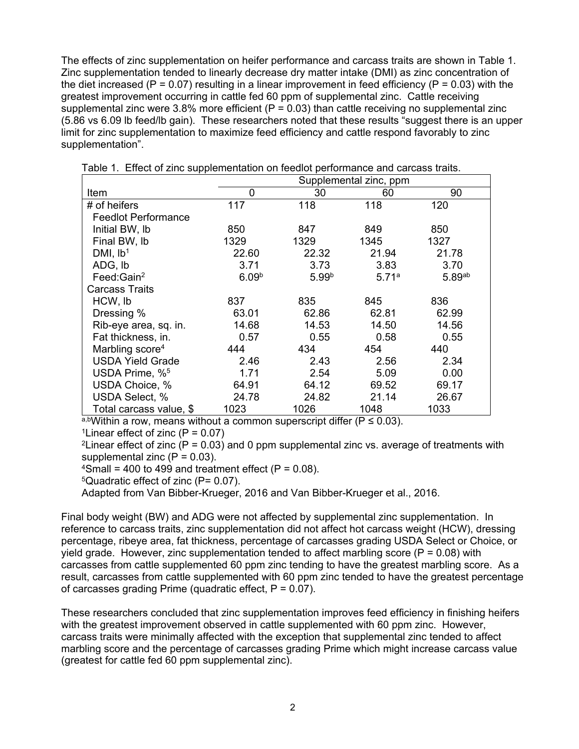The effects of zinc supplementation on heifer performance and carcass traits are shown in Table 1. Zinc supplementation tended to linearly decrease dry matter intake (DMI) as zinc concentration of the diet increased ( $P = 0.07$ ) resulting in a linear improvement in feed efficiency ( $P = 0.03$ ) with the greatest improvement occurring in cattle fed 60 ppm of supplemental zinc. Cattle receiving supplemental zinc were 3.8% more efficient ( $P = 0.03$ ) than cattle receiving no supplemental zinc (5.86 vs 6.09 lb feed/lb gain). These researchers noted that these results "suggest there is an upper limit for zinc supplementation to maximize feed efficiency and cattle respond favorably to zinc supplementation".

|                             | Supplemental zinc, ppm |                   |       |        |
|-----------------------------|------------------------|-------------------|-------|--------|
| Item                        | 0                      | 30                | 60    | 90     |
| # of heifers                | 117                    | 118               | 118   | 120    |
| <b>Feedlot Performance</b>  |                        |                   |       |        |
| Initial BW, Ib              | 850                    | 847               | 849   | 850    |
| Final BW, lb                | 1329                   | 1329              | 1345  | 1327   |
| DMI, $Ib1$                  | 22.60                  | 22.32             | 21.94 | 21.78  |
| ADG, lb                     | 3.71                   | 3.73              | 3.83  | 3.70   |
| Feed:Gain <sup>2</sup>      | 6.09 <sup>b</sup>      | 5.99 <sup>b</sup> | 5.71a | 5.89ab |
| <b>Carcass Traits</b>       |                        |                   |       |        |
| HCW, Ib                     | 837                    | 835               | 845   | 836    |
| Dressing %                  | 63.01                  | 62.86             | 62.81 | 62.99  |
| Rib-eye area, sq. in.       | 14.68                  | 14.53             | 14.50 | 14.56  |
| Fat thickness, in.          | 0.57                   | 0.55              | 0.58  | 0.55   |
| Marbling score <sup>4</sup> | 444                    | 434               | 454   | 440    |
| <b>USDA Yield Grade</b>     | 2.46                   | 2.43              | 2.56  | 2.34   |
| USDA Prime, % <sup>5</sup>  | 1.71                   | 2.54              | 5.09  | 0.00   |
| USDA Choice, %              | 64.91                  | 64.12             | 69.52 | 69.17  |
| USDA Select, %              | 24.78                  | 24.82             | 21.14 | 26.67  |
| Total carcass value, \$     | 1023                   | 1026              | 1048  | 1033   |

Table 1. Effect of zinc supplementation on feedlot performance and carcass traits.

a,bWithin a row, means without a common superscript differ ( $P \le 0.03$ ).

<sup>1</sup>Linear effect of zinc  $(P = 0.07)$ 

<sup>2</sup> Linear effect of zinc (P = 0.03) and 0 ppm supplemental zinc vs. average of treatments with supplemental zinc  $(P = 0.03)$ .

 $4$ Small = 400 to 499 and treatment effect (P = 0.08).

5Quadratic effect of zinc (P= 0.07).

Adapted from Van Bibber-Krueger, 2016 and Van Bibber-Krueger et al., 2016.

Final body weight (BW) and ADG were not affected by supplemental zinc supplementation. In reference to carcass traits, zinc supplementation did not affect hot carcass weight (HCW), dressing percentage, ribeye area, fat thickness, percentage of carcasses grading USDA Select or Choice, or yield grade. However, zinc supplementation tended to affect marbling score ( $P = 0.08$ ) with carcasses from cattle supplemented 60 ppm zinc tending to have the greatest marbling score. As a result, carcasses from cattle supplemented with 60 ppm zinc tended to have the greatest percentage of carcasses grading Prime (quadratic effect,  $P = 0.07$ ).

These researchers concluded that zinc supplementation improves feed efficiency in finishing heifers with the greatest improvement observed in cattle supplemented with 60 ppm zinc. However, carcass traits were minimally affected with the exception that supplemental zinc tended to affect marbling score and the percentage of carcasses grading Prime which might increase carcass value (greatest for cattle fed 60 ppm supplemental zinc).